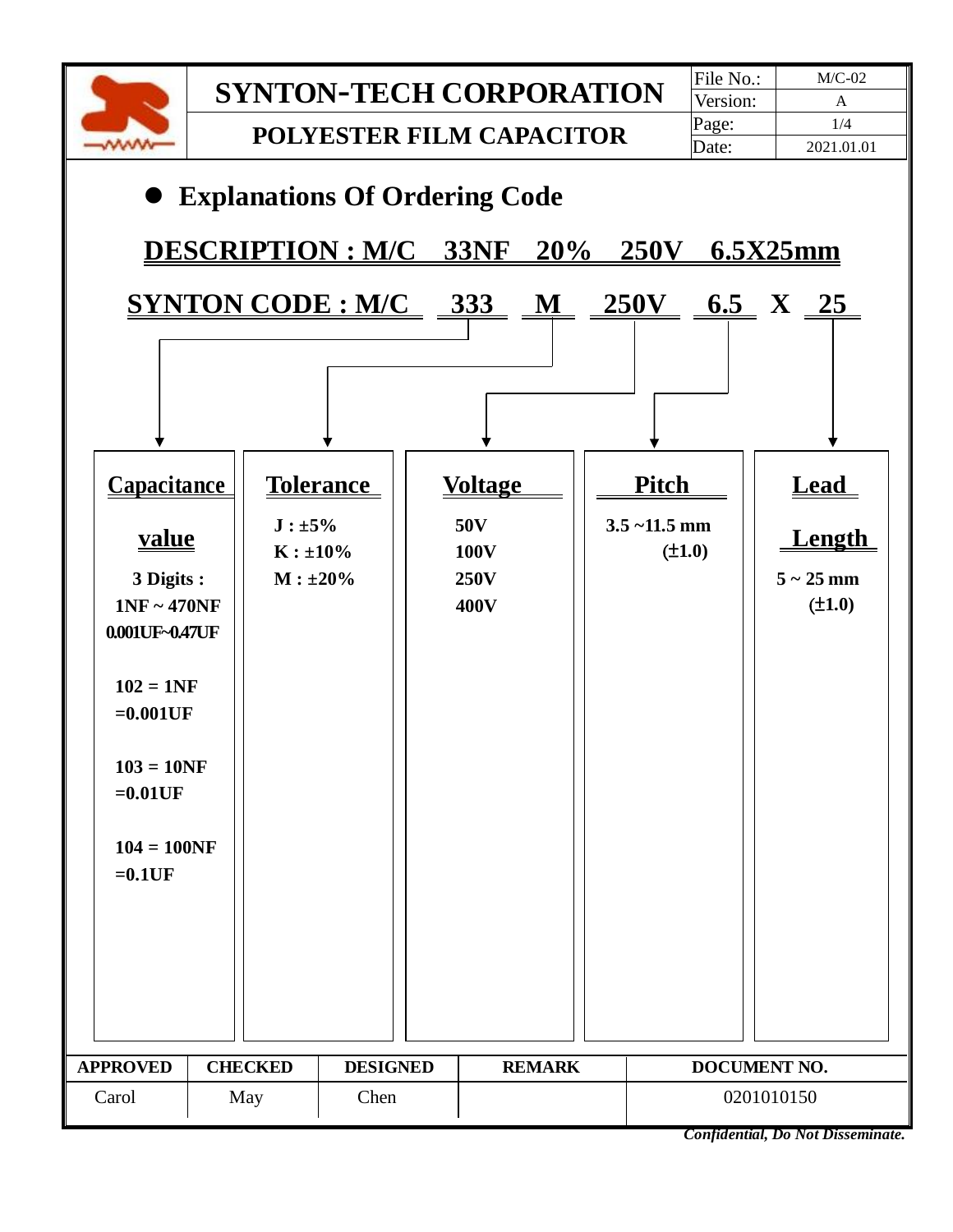

*Confidential, Do Not Disseminate.*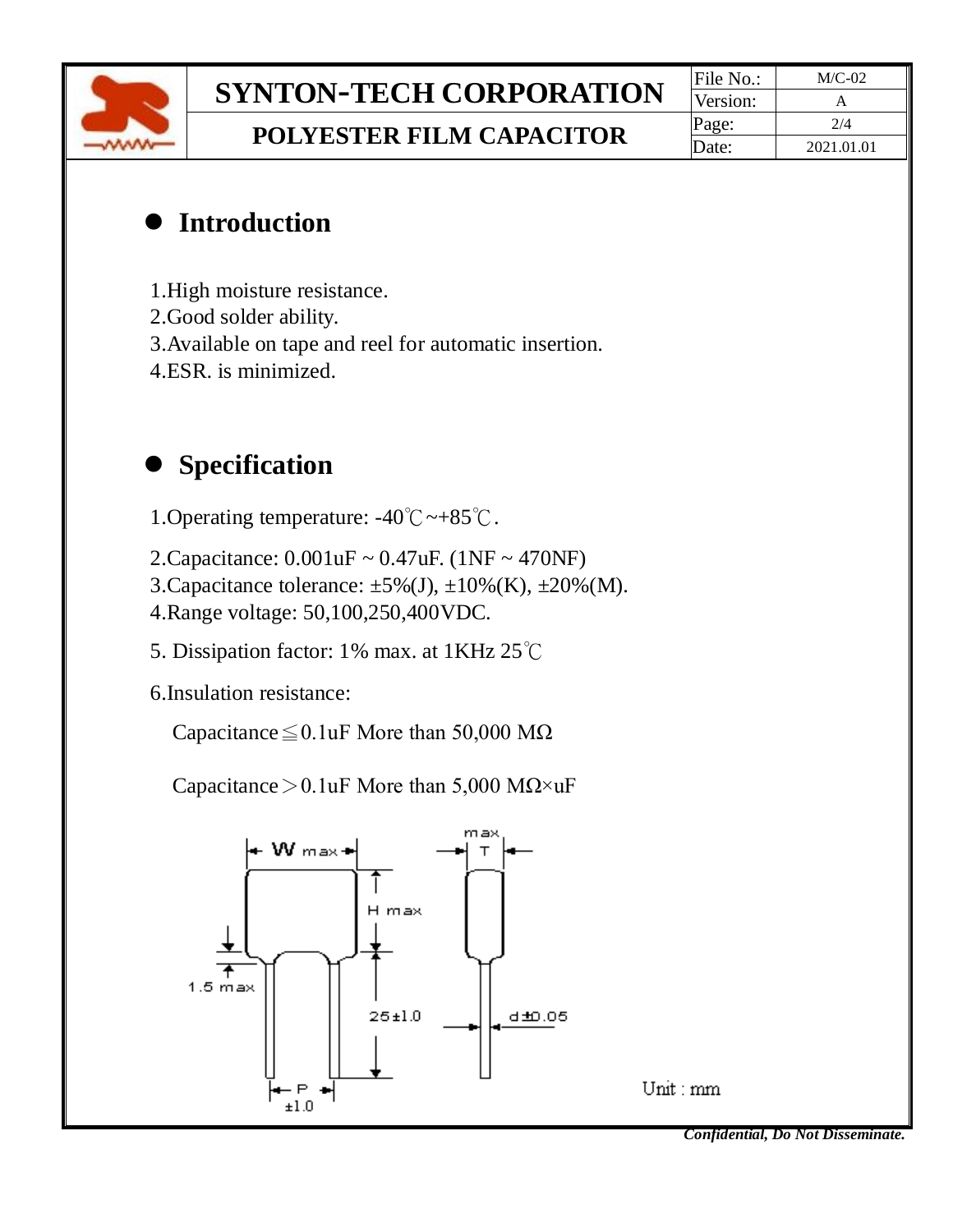

# **SYNTON-TECH CORPORATION**  $\frac{File No.:}{Version:}$  M/C-02

**POLYESTER FILM CAPACITOR** Page:  $\frac{p_{\text{age:}}}{\text{Date:}}$  2021.01

Version: Date: 2021.01.01

#### ⚫ **Introduction**

- 1.High moisture resistance.
- 2.Good solder ability.
- 3.Available on tape and reel for automatic insertion.
- 4.ESR. is minimized.

### ⚫ **Specification**

- 1.Operating temperature: -40℃~+85℃.
- 2.Capacitance: 0.001uF ~ 0.47uF. (1NF ~ 470NF)
- 3. Capacitance tolerance:  $\pm 5\%$  (J),  $\pm 10\%$  (K),  $\pm 20\%$  (M).
- 4.Range voltage: 50,100,250,400VDC.
- 5. Dissipation factor: 1% max. at 1KHz 25℃
- 6.Insulation resistance:

Capacitance≦0.1uF More than 50,000 MΩ

Capacitance > 0.1uF More than 5,000 M $\Omega \times uF$ 





*Confidential, Do Not Disseminate.*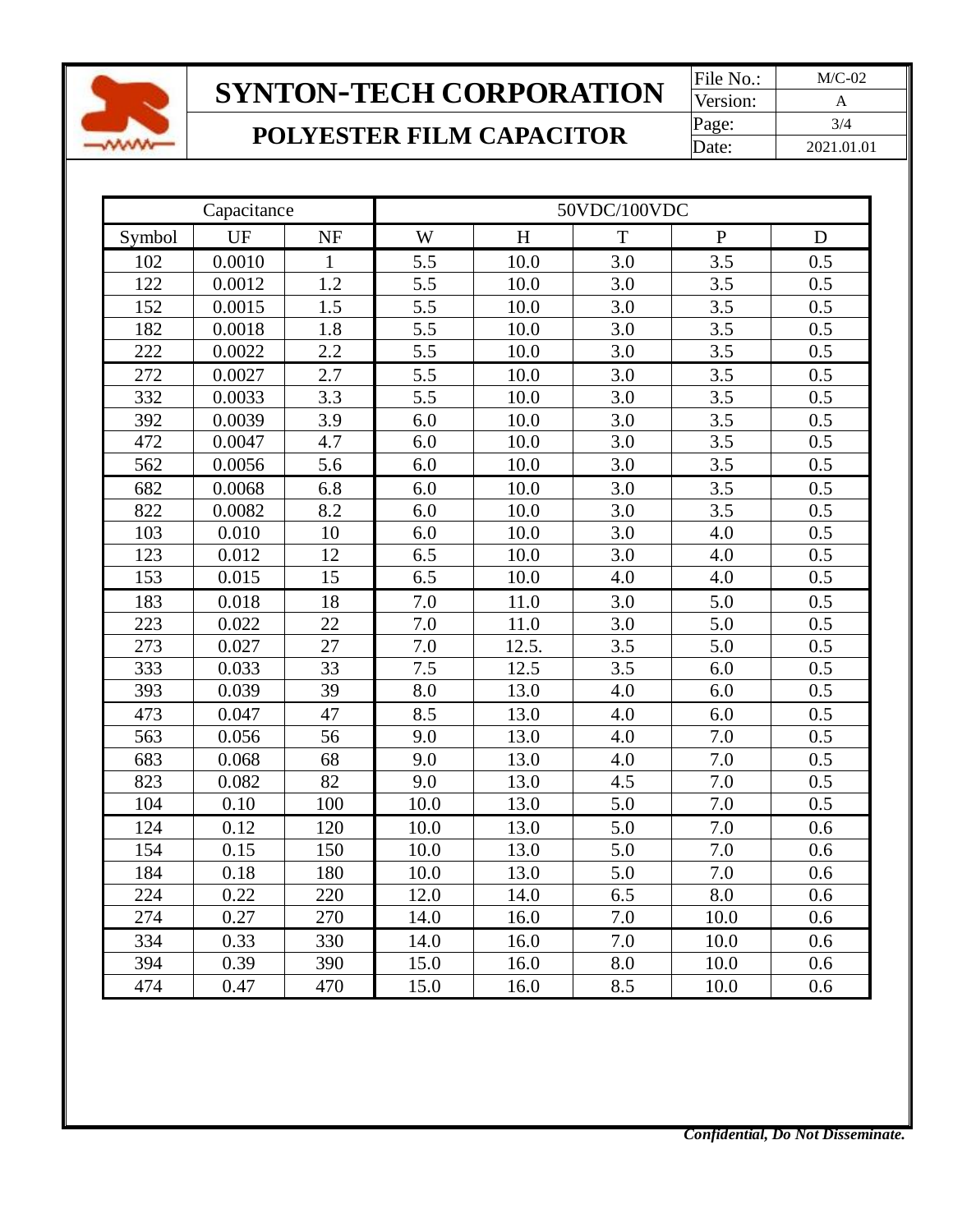

# **SYNTON-TECH CORPORATION** File No.: M/C-02

## **POLYESTER FILM CAPACITOR** Page:  $\frac{Page:}{Date:}$  3/4

Version: Date: 2021.01.01

| Capacitance |        |              | 50VDC/100VDC |       |     |           |             |  |  |
|-------------|--------|--------------|--------------|-------|-----|-----------|-------------|--|--|
| Symbol      | UF     | <b>NF</b>    | W            | H     | T   | ${\bf P}$ | $\mathbf D$ |  |  |
| 102         | 0.0010 | $\mathbf{1}$ | 5.5          | 10.0  | 3.0 | 3.5       | 0.5         |  |  |
| 122         | 0.0012 | 1.2          | 5.5          | 10.0  | 3.0 | 3.5       | 0.5         |  |  |
| 152         | 0.0015 | 1.5          | 5.5          | 10.0  | 3.0 | 3.5       | 0.5         |  |  |
| 182         | 0.0018 | 1.8          | 5.5          | 10.0  | 3.0 | 3.5       | 0.5         |  |  |
| 222         | 0.0022 | 2.2          | 5.5          | 10.0  | 3.0 | 3.5       | 0.5         |  |  |
| 272         | 0.0027 | 2.7          | 5.5          | 10.0  | 3.0 | 3.5       | 0.5         |  |  |
| 332         | 0.0033 | 3.3          | 5.5          | 10.0  | 3.0 | 3.5       | 0.5         |  |  |
| 392         | 0.0039 | 3.9          | 6.0          | 10.0  | 3.0 | 3.5       | 0.5         |  |  |
| 472         | 0.0047 | 4.7          | 6.0          | 10.0  | 3.0 | 3.5       | 0.5         |  |  |
| 562         | 0.0056 | 5.6          | 6.0          | 10.0  | 3.0 | 3.5       | 0.5         |  |  |
| 682         | 0.0068 | 6.8          | 6.0          | 10.0  | 3.0 | 3.5       | 0.5         |  |  |
| 822         | 0.0082 | 8.2          | 6.0          | 10.0  | 3.0 | 3.5       | 0.5         |  |  |
| 103         | 0.010  | 10           | 6.0          | 10.0  | 3.0 | 4.0       | 0.5         |  |  |
| 123         | 0.012  | 12           | 6.5          | 10.0  | 3.0 | 4.0       | 0.5         |  |  |
| 153         | 0.015  | 15           | 6.5          | 10.0  | 4.0 | 4.0       | 0.5         |  |  |
| 183         | 0.018  | 18           | 7.0          | 11.0  | 3.0 | 5.0       | 0.5         |  |  |
| 223         | 0.022  | 22           | 7.0          | 11.0  | 3.0 | 5.0       | 0.5         |  |  |
| 273         | 0.027  | 27           | 7.0          | 12.5. | 3.5 | 5.0       | 0.5         |  |  |
| 333         | 0.033  | 33           | 7.5          | 12.5  | 3.5 | 6.0       | 0.5         |  |  |
| 393         | 0.039  | 39           | 8.0          | 13.0  | 4.0 | 6.0       | 0.5         |  |  |
| 473         | 0.047  | 47           | 8.5          | 13.0  | 4.0 | 6.0       | 0.5         |  |  |
| 563         | 0.056  | 56           | 9.0          | 13.0  | 4.0 | 7.0       | 0.5         |  |  |
| 683         | 0.068  | 68           | 9.0          | 13.0  | 4.0 | 7.0       | 0.5         |  |  |
| 823         | 0.082  | 82           | 9.0          | 13.0  | 4.5 | 7.0       | 0.5         |  |  |
| 104         | 0.10   | 100          | 10.0         | 13.0  | 5.0 | 7.0       | 0.5         |  |  |
| 124         | 0.12   | 120          | 10.0         | 13.0  | 5.0 | 7.0       | 0.6         |  |  |
| 154         | 0.15   | 150          | 10.0         | 13.0  | 5.0 | 7.0       | 0.6         |  |  |
| 184         | 0.18   | 180          | 10.0         | 13.0  | 5.0 | 7.0       | 0.6         |  |  |
| 224         | 0.22   | 220          | 12.0         | 14.0  | 6.5 | 8.0       | 0.6         |  |  |
| 274         | 0.27   | 270          | 14.0         | 16.0  | 7.0 | 10.0      | 0.6         |  |  |
| 334         | 0.33   | 330          | 14.0         | 16.0  | 7.0 | 10.0      | 0.6         |  |  |
| 394         | 0.39   | 390          | 15.0         | 16.0  | 8.0 | 10.0      | 0.6         |  |  |
| 474         | 0.47   | 470          | 15.0         | 16.0  | 8.5 | 10.0      | 0.6         |  |  |